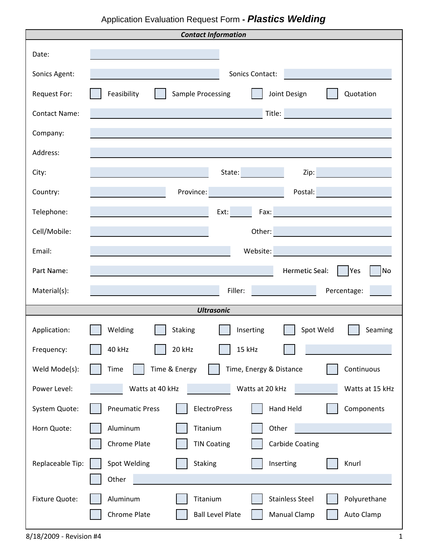## Application Evaluation Request Form **-** *Plastics Welding*

|                       | <b>Contact Information</b>                                        |
|-----------------------|-------------------------------------------------------------------|
| Date:                 |                                                                   |
| Sonics Agent:         | Sonics Contact:                                                   |
| Request For:          | Feasibility<br>Sample Processing<br>Joint Design<br>Quotation     |
| <b>Contact Name:</b>  | Title:                                                            |
| Company:              |                                                                   |
| Address:              |                                                                   |
| City:                 | State:<br>Zip:                                                    |
| Country:              | Postal:<br>Province:                                              |
| Telephone:            | Ext:<br>Fax:                                                      |
| Cell/Mobile:          | Other:                                                            |
| Email:                | Website:                                                          |
| Part Name:            | Hermetic Seal:<br>Yes<br> No                                      |
|                       |                                                                   |
| Material(s):          | Filler:<br>Percentage:                                            |
|                       | <b>Ultrasonic</b>                                                 |
| Application:          | Spot Weld<br>Welding<br><b>Staking</b><br>Inserting<br>Seaming    |
| Frequency:            | 40 kHz<br>20 kHz<br>15 kHz                                        |
| Weld Mode(s):         | Time & Energy<br>Continuous<br>Time<br>Time, Energy & Distance    |
| Power Level:          | Watts at 40 kHz<br>Watts at 20 kHz<br>Watts at 15 kHz             |
| System Quote:         | ElectroPress<br>Hand Held<br><b>Pneumatic Press</b><br>Components |
| Horn Quote:           | Titanium<br>Aluminum<br>Other                                     |
|                       | Chrome Plate<br><b>TIN Coating</b><br><b>Carbide Coating</b>      |
| Replaceable Tip:      | Spot Welding<br>Staking<br>Inserting<br>Knurl                     |
|                       | Other                                                             |
| <b>Fixture Quote:</b> | <b>Stainless Steel</b><br>Polyurethane<br>Aluminum<br>Titanium    |